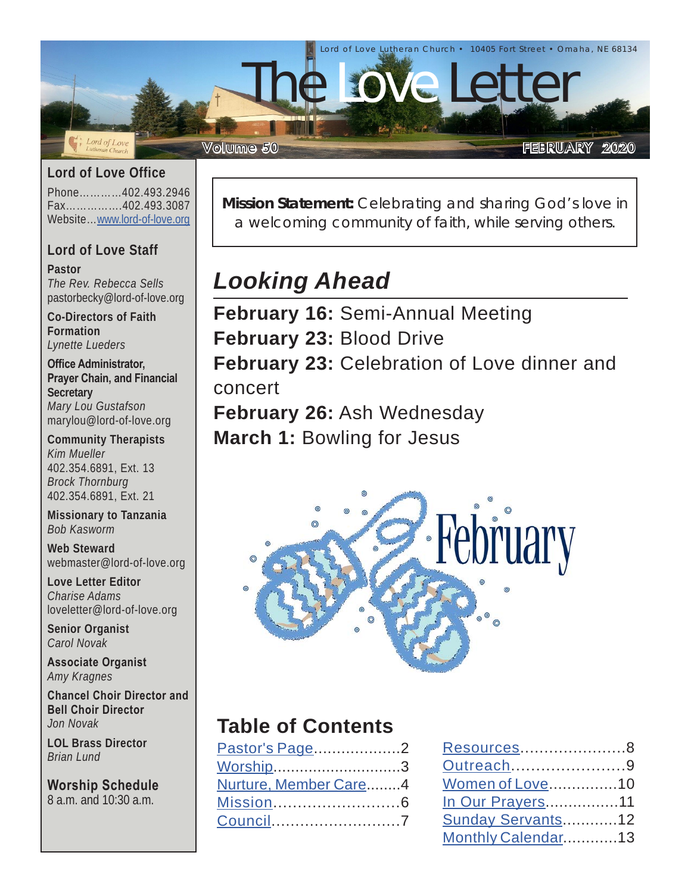

### **Lord of Love Office**

Phone…………402.493.2946 Fax…………….402.493.3087 Website…[www.lord-of-love.org](http://www.lord-of-love.org)

#### **Lord of Love Staff**

**Pastor** *The Rev. Rebecca Sells* pastorbecky@lord-of-love.org

**Co-Directors of Faith Formation** *Lynette Lueders*

**Office Administrator, Prayer Chain, and Financial Secretary** *Mary Lou Gustafson* marylou@lord-of-love.org

**Community Therapists** *Kim Mueller* 402.354.6891, Ext. 13 *Brock Thornburg* 402.354.6891, Ext. 21

**Missionary to Tanzania** *Bob Kasworm*

**Web Steward** webmaster@lord-of-love.org

**Love Letter Editor** *Charise Adams* loveletter@lord-of-love.org

**Senior Organist** *Carol Novak*

**Associate Organist** *Amy Kragnes*

**Chancel Choir Director and Bell Choir Director** *Jon Novak*

**LOL Brass Director** *Brian Lund*

**Worship Schedule** 8 a.m. and 10:30 a.m.

**Mission Statement:** Celebrating and sharing God's love in a welcoming community of faith, while serving others.

# *Looking Ahead*

**February 16:** Semi-Annual Meeting **February 23:** Blood Drive **February 23:** Celebration of Love dinner and concert **February 26:** Ash Wednesday **March 1:** Bowling for Jesus



## **Table of Contents**

| Pastor's Page2        |  |
|-----------------------|--|
| Worship3              |  |
| Nurture, Member Care4 |  |
|                       |  |
| Council7              |  |

| Resources8         |  |
|--------------------|--|
| Outreach9          |  |
| Women of Love10    |  |
| In Our Prayers11   |  |
| Sunday Servants12  |  |
| Monthly Calendar13 |  |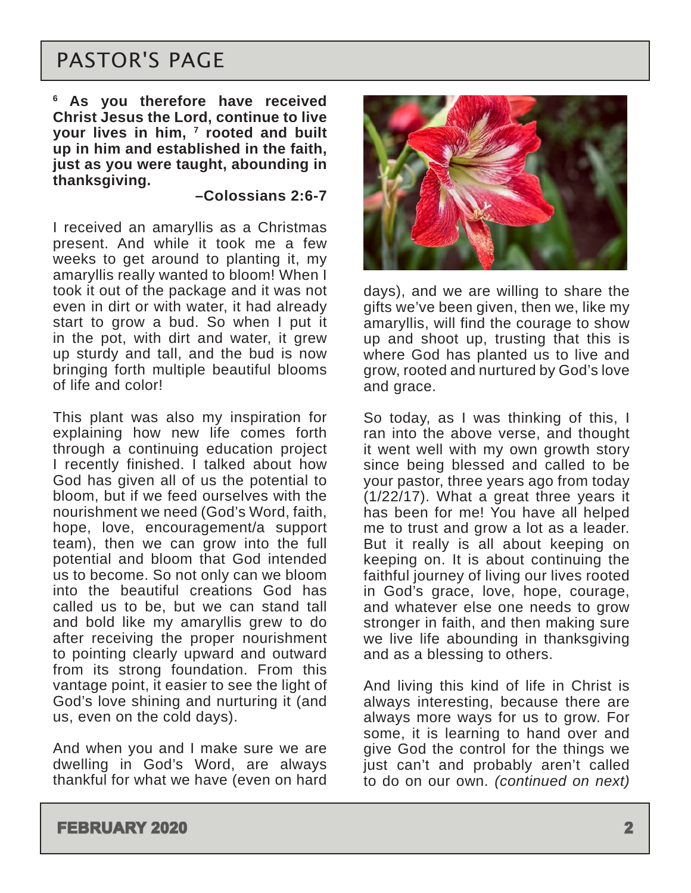## <span id="page-1-0"></span>PASTOR'S PAGE

**6 As you therefore have received Christ Jesus the Lord, continue to live your lives in him, 7 rooted and built up in him and established in the faith, just as you were taught, abounding in thanksgiving.** 

#### **–Colossians 2:6-7**

I received an amaryllis as a Christmas present. And while it took me a few weeks to get around to planting it, my amaryllis really wanted to bloom! When I took it out of the package and it was not even in dirt or with water, it had already start to grow a bud. So when I put it in the pot, with dirt and water, it grew up sturdy and tall, and the bud is now bringing forth multiple beautiful blooms of life and color!

This plant was also my inspiration for explaining how new life comes forth through a continuing education project I recently finished. I talked about how God has given all of us the potential to bloom, but if we feed ourselves with the nourishment we need (God's Word, faith, hope, love, encouragement/a support team), then we can grow into the full potential and bloom that God intended us to become. So not only can we bloom into the beautiful creations God has called us to be, but we can stand tall and bold like my amaryllis grew to do after receiving the proper nourishment to pointing clearly upward and outward from its strong foundation. From this vantage point, it easier to see the light of God's love shining and nurturing it (and us, even on the cold days).

And when you and I make sure we are dwelling in God's Word, are always thankful for what we have (even on hard



days), and we are willing to share the gifts we've been given, then we, like my amaryllis, will find the courage to show up and shoot up, trusting that this is where God has planted us to live and grow, rooted and nurtured by God's love and grace.

So today, as I was thinking of this, I ran into the above verse, and thought it went well with my own growth story since being blessed and called to be your pastor, three years ago from today (1/22/17). What a great three years it has been for me! You have all helped me to trust and grow a lot as a leader. But it really is all about keeping on keeping on. It is about continuing the faithful journey of living our lives rooted in God's grace, love, hope, courage, and whatever else one needs to grow stronger in faith, and then making sure we live life abounding in thanksgiving and as a blessing to others.

And living this kind of life in Christ is always interesting, because there are always more ways for us to grow. For some, it is learning to hand over and give God the control for the things we just can't and probably aren't called to do on our own. *(continued on next)*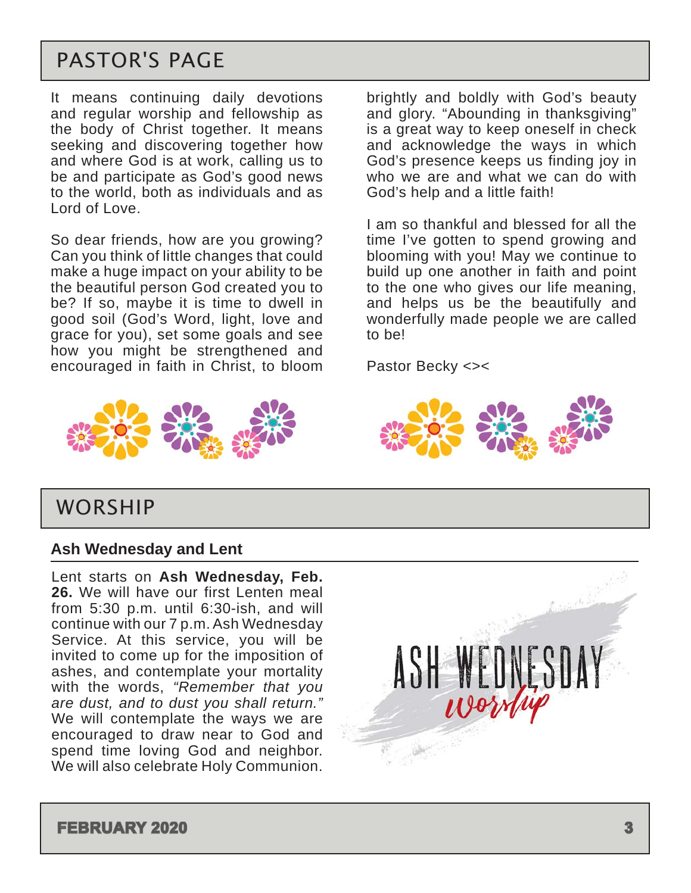## PASTOR'S PAGE

It means continuing daily devotions and regular worship and fellowship as the body of Christ together. It means seeking and discovering together how and where God is at work, calling us to be and participate as God's good news to the world, both as individuals and as Lord of Love.

So dear friends, how are you growing? Can you think of little changes that could make a huge impact on your ability to be the beautiful person God created you to be? If so, maybe it is time to dwell in good soil (God's Word, light, love and grace for you), set some goals and see how you might be strengthened and encouraged in faith in Christ, to bloom brightly and boldly with God's beauty and glory. "Abounding in thanksgiving" is a great way to keep oneself in check and acknowledge the ways in which God's presence keeps us finding joy in who we are and what we can do with God's help and a little faith!

I am so thankful and blessed for all the time I've gotten to spend growing and blooming with you! May we continue to build up one another in faith and point to the one who gives our life meaning, and helps us be the beautifully and wonderfully made people we are called to be!

Pastor Becky <><





### WORSHIP

#### **Ash Wednesday and Lent**

Lent starts on **Ash Wednesday, Feb. 26.** We will have our first Lenten meal from 5:30 p.m. until 6:30-ish, and will continue with our 7 p.m. Ash Wednesday Service. At this service, you will be invited to come up for the imposition of ashes, and contemplate your mortality with the words, *"Remember that you are dust, and to dust you shall return."*  We will contemplate the ways we are encouraged to draw near to God and spend time loving God and neighbor. We will also celebrate Holy Communion.

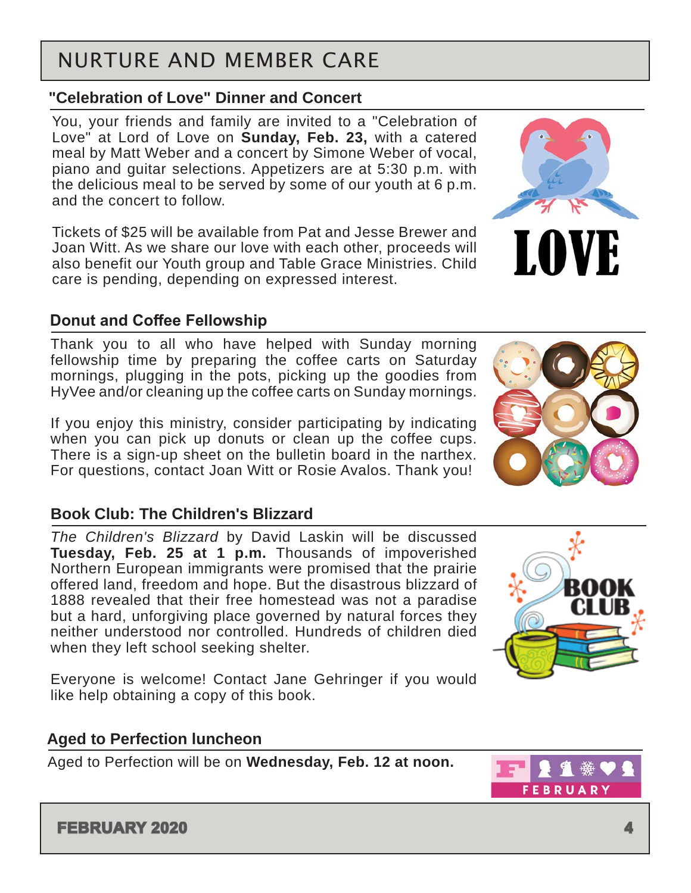## <span id="page-3-0"></span>NURTURE AND MEMBER CARE

### **"Celebration of Love" Dinner and Concert**

You, your friends and family are invited to a "Celebration of Love" at Lord of Love on **Sunday, Feb. 23,** with a catered meal by Matt Weber and a concert by Simone Weber of vocal, piano and guitar selections. Appetizers are at 5:30 p.m. with the delicious meal to be served by some of our youth at 6 p.m. and the concert to follow.

Tickets of \$25 will be available from Pat and Jesse Brewer and Joan Witt. As we share our love with each other, proceeds will also benefit our Youth group and Table Grace Ministries. Child care is pending, depending on expressed interest.

### **Donut and Coffee Fellowship**

Thank you to all who have helped with Sunday morning fellowship time by preparing the coffee carts on Saturday mornings, plugging in the pots, picking up the goodies from HyVee and/or cleaning up the coffee carts on Sunday mornings.

If you enjoy this ministry, consider participating by indicating when you can pick up donuts or clean up the coffee cups. There is a sign-up sheet on the bulletin board in the narthex. For questions, contact Joan Witt or Rosie Avalos. Thank you!

### **Book Club: The Children's Blizzard**

*The Children's Blizzard* by David Laskin will be discussed **Tuesday, Feb. 25 at 1 p.m.** Thousands of impoverished Northern European immigrants were promised that the prairie offered land, freedom and hope. But the disastrous blizzard of 1888 revealed that their free homestead was not a paradise but a hard, unforgiving place governed by natural forces they neither understood nor controlled. Hundreds of children died when they left school seeking shelter.

Everyone is welcome! Contact Jane Gehringer if you would like help obtaining a copy of this book.

### **Aged to Perfection luncheon**

Aged to Perfection will be on **Wednesday, Feb. 12 at noon.**







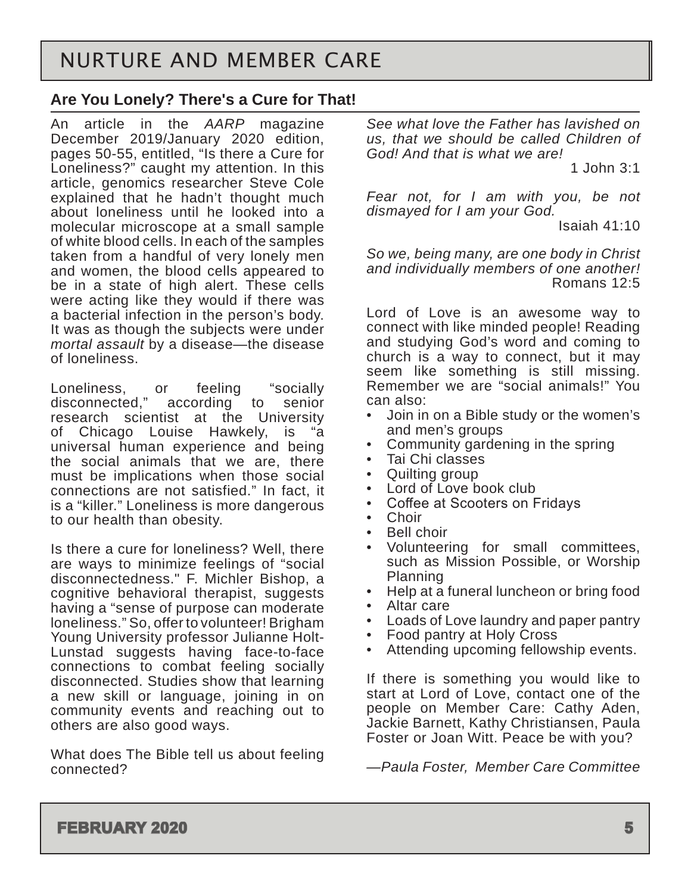### **Are You Lonely? There's a Cure for That!**

An article in the *AARP* magazine December 2019/January 2020 edition, pages 50-55, entitled, "Is there a Cure for Loneliness?" caught my attention. In this article, genomics researcher Steve Cole explained that he hadn't thought much about loneliness until he looked into a molecular microscope at a small sample of white blood cells. In each of the samples taken from a handful of very lonely men and women, the blood cells appeared to be in a state of high alert. These cells were acting like they would if there was a bacterial infection in the person's body. It was as though the subjects were under *mortal assault* by a disease—the disease of loneliness.

Loneliness, or feeling "socially<br>disconnected," according to senior according to senior research scientist at the University of Chicago Louise Hawkely, is "a universal human experience and being the social animals that we are, there must be implications when those social connections are not satisfied." In fact, it is a "killer." Loneliness is more dangerous to our health than obesity.

Is there a cure for loneliness? Well, there are ways to minimize feelings of "social disconnectedness." F. Michler Bishop, a cognitive behavioral therapist, suggests having a "sense of purpose can moderate loneliness." So, offer to volunteer! Brigham Young University professor Julianne Holt-Lunstad suggests having face-to-face connections to combat feeling socially disconnected. Studies show that learning a new skill or language, joining in on community events and reaching out to others are also good ways.

What does The Bible tell us about feeling connected?

*See what love the Father has lavished on us, that we should be called Children of God! And that is what we are!*

1 John 3:1

*Fear not, for I am with you, be not dismayed for I am your God.*

Isaiah 41:10

*So we, being many, are one body in Christ and individually members of one another!* Romans 12:5

Lord of Love is an awesome way to connect with like minded people! Reading and studying God's word and coming to church is a way to connect, but it may seem like something is still missing. Remember we are "social animals!" You can also:

- Join in on a Bible study or the women's and men's groups
- Community gardening in the spring
- Tai Chi classes
- Quilting group
- Lord of Love book club
- Coffee at Scooters on Fridays
- Choir<br>• Boll cl
- Bell choir
- Volunteering for small committees, such as Mission Possible, or Worship Planning
- Help at a funeral luncheon or bring food
- Altar care<br>• Loads of L
- Loads of Love laundry and paper pantry
- Food pantry at Holy Cross
- Attending upcoming fellowship events.

If there is something you would like to start at Lord of Love, contact one of the people on Member Care: Cathy Aden, Jackie Barnett, Kathy Christiansen, Paula Foster or Joan Witt. Peace be with you?

*—Paula Foster, Member Care Committee*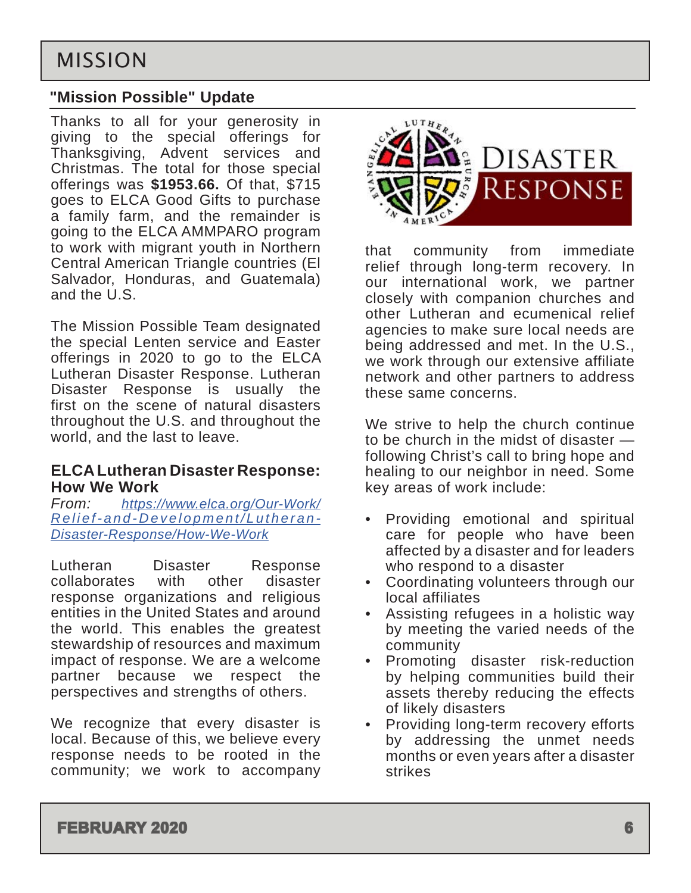## <span id="page-5-0"></span>MISSION

### **"Mission Possible" Update**

Thanks to all for your generosity in giving to the special offerings for Thanksgiving, Advent services and Christmas. The total for those special offerings was **\$1953.66.** Of that, \$715 goes to ELCA Good Gifts to purchase a family farm, and the remainder is going to the ELCA AMMPARO program to work with migrant youth in Northern Central American Triangle countries (El Salvador, Honduras, and Guatemala) and the U.S.

The Mission Possible Team designated the special Lenten service and Easter offerings in 2020 to go to the ELCA Lutheran Disaster Response. Lutheran Disaster Response is usually the first on the scene of natural disasters throughout the U.S. and throughout the world, and the last to leave.

## **ELCA Lutheran Disaster Response: How We Work**

*From: [https://www.elca.org/Our-Work/](https://www.elca.org/Our-Work/Relief-and-Development/Lutheran-Disaster-Response/How-We-Work) [Relief-and-Development/Lutheran-](https://www.elca.org/Our-Work/Relief-and-Development/Lutheran-Disaster-Response/How-We-Work)[Disaster-Response/How-We-Work](https://www.elca.org/Our-Work/Relief-and-Development/Lutheran-Disaster-Response/How-We-Work)*

Lutheran Disaster Response collaborates with other disaster response organizations and religious entities in the United States and around the world. This enables the greatest stewardship of resources and maximum impact of response. We are a welcome partner because we respect the perspectives and strengths of others.

We recognize that every disaster is local. Because of this, we believe every response needs to be rooted in the community; we work to accompany



that community from immediate relief through long-term recovery. In our international work, we partner closely with companion churches and other Lutheran and ecumenical relief agencies to make sure local needs are being addressed and met. In the U.S., we work through our extensive affiliate network and other partners to address these same concerns.

We strive to help the church continue to be church in the midst of disaster following Christ's call to bring hope and healing to our neighbor in need. Some key areas of work include:

- Providing emotional and spiritual care for people who have been affected by a disaster and for leaders who respond to a disaster
- Coordinating volunteers through our local affiliates
- Assisting refugees in a holistic way by meeting the varied needs of the community
- Promoting disaster risk-reduction by helping communities build their assets thereby reducing the effects of likely disasters
- Providing long-term recovery efforts by addressing the unmet needs months or even years after a disaster strikes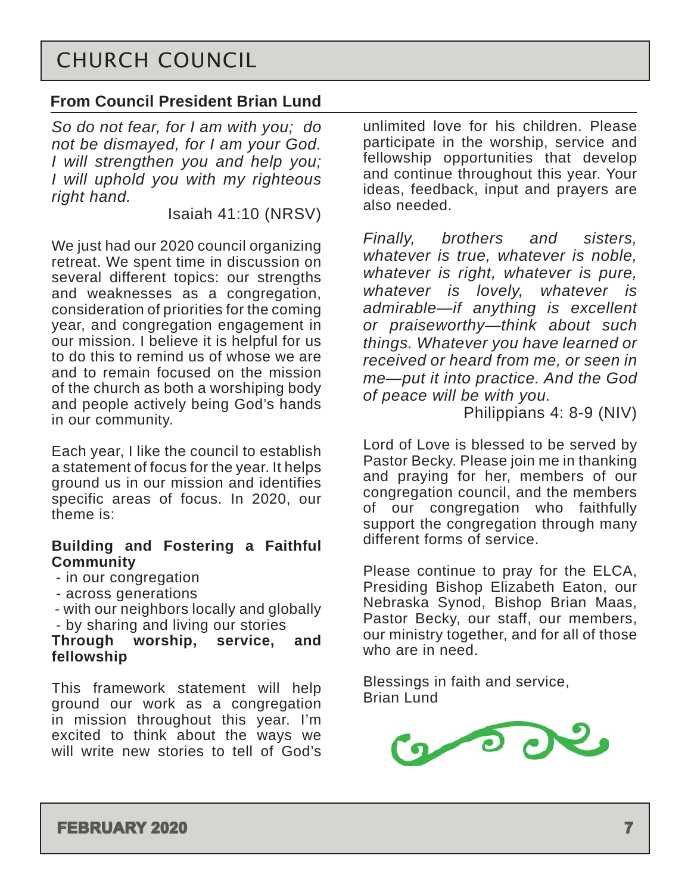## <span id="page-6-0"></span>CHURCH COUNCIL

### **From Council President Brian Lund**

*So do not fear, for I am with you; do not be dismayed, for I am your God. I will strengthen you and help you; I will uphold you with my righteous right hand.*

Isaiah 41:10 (NRSV)

We just had our 2020 council organizing retreat. We spent time in discussion on several different topics: our strengths and weaknesses as a congregation, consideration of priorities for the coming year, and congregation engagement in our mission. I believe it is helpful for us to do this to remind us of whose we are and to remain focused on the mission of the church as both a worshiping body and people actively being God's hands in our community.

Each year, I like the council to establish a statement of focus for the year. It helps ground us in our mission and identifies specific areas of focus. In 2020, our theme is:

#### **Building and Fostering a Faithful Community**

- in our congregation
- across generations
- with our neighbors locally and globally
- by sharing and living our stories

#### **Through worship, service, and fellowship**

This framework statement will help ground our work as a congregation in mission throughout this year. I'm excited to think about the ways we will write new stories to tell of God's

unlimited love for his children. Please participate in the worship, service and fellowship opportunities that develop and continue throughout this year. Your ideas, feedback, input and prayers are also needed.

*Finally, brothers and sisters, whatever is true, whatever is noble, whatever is right, whatever is pure, whatever is lovely, whatever is admirable—if anything is excellent or praiseworthy—think about such things. Whatever you have learned or received or heard from me, or seen in me—put it into practice. And the God of peace will be with you.*

Philippians 4: 8-9 (NIV)

Lord of Love is blessed to be served by Pastor Becky. Please join me in thanking and praying for her, members of our congregation council, and the members of our congregation who faithfully support the congregation through many different forms of service.

Please continue to pray for the ELCA, Presiding Bishop Elizabeth Eaton, our Nebraska Synod, Bishop Brian Maas, Pastor Becky, our staff, our members, our ministry together, and for all of those who are in need.

Blessings in faith and service, Brian Lund

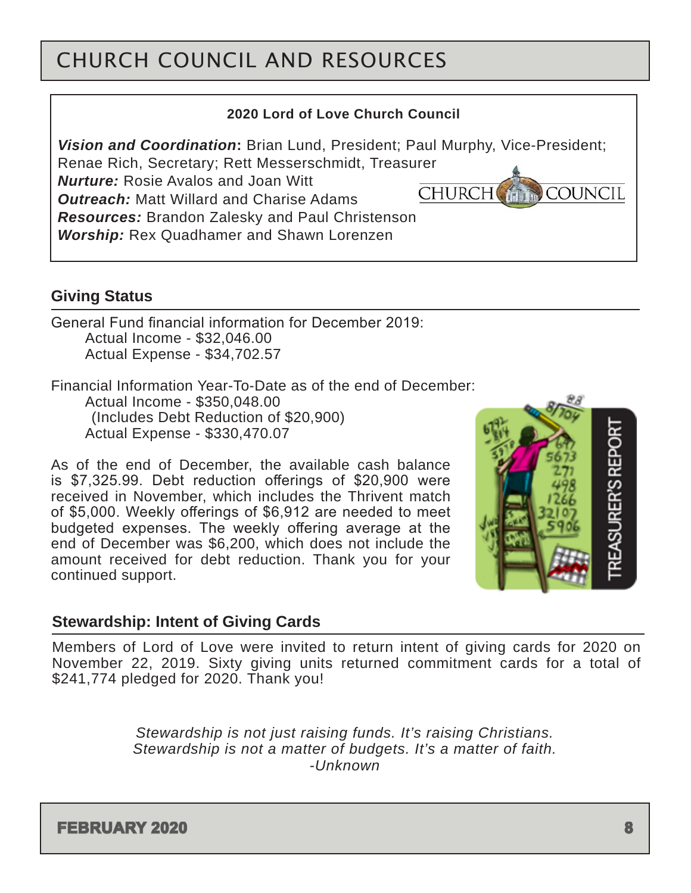# <span id="page-7-0"></span>CHURCH COUNCIL AND RESOURCES

#### **2020 Lord of Love Church Council**

*Vision and Coordination***:** Brian Lund, President; Paul Murphy, Vice-President;

Renae Rich, Secretary; Rett Messerschmidt, Treasurer

*Nurture:* Rosie Avalos and Joan Witt *Outreach:* Matt Willard and Charise Adams **CHURCH** COUNCIL

*Resources:* Brandon Zalesky and Paul Christenson *Worship:* Rex Quadhamer and Shawn Lorenzen

### **Giving Status**

General Fund financial information for December 2019: Actual Income - \$32,046.00 Actual Expense - \$34,702.57

Financial Information Year-To-Date as of the end of December: Actual Income - \$350,048.00 (Includes Debt Reduction of \$20,900) Actual Expense - \$330,470.07

As of the end of December, the available cash balance is \$7,325.99. Debt reduction offerings of \$20,900 were received in November, which includes the Thrivent match of \$5,000. Weekly offerings of \$6,912 are needed to meet budgeted expenses. The weekly offering average at the end of December was \$6,200, which does not include the amount received for debt reduction. Thank you for your continued support.



### **Stewardship: Intent of Giving Cards**

Members of Lord of Love were invited to return intent of giving cards for 2020 on November 22, 2019. Sixty giving units returned commitment cards for a total of \$241,774 pledged for 2020. Thank you!

> *Stewardship is not just raising funds. It's raising Christians. Stewardship is not a matter of budgets. It's a matter of faith. -Unknown*

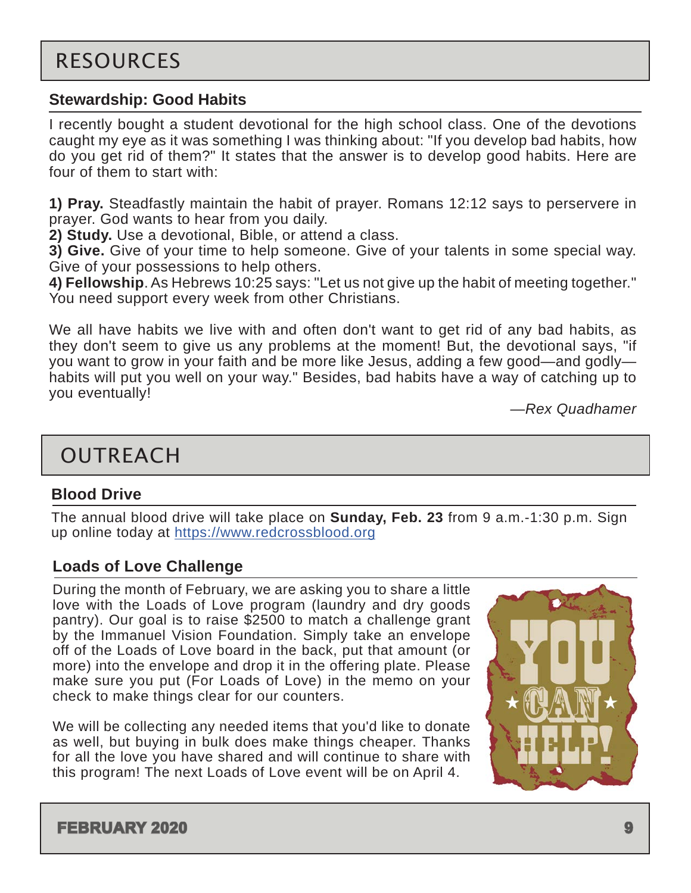#### <span id="page-8-0"></span>**Stewardship: Good Habits**

I recently bought a student devotional for the high school class. One of the devotions caught my eye as it was something I was thinking about: "If you develop bad habits, how do you get rid of them?" It states that the answer is to develop good habits. Here are four of them to start with:

**1) Pray.** Steadfastly maintain the habit of prayer. Romans 12:12 says to perservere in prayer. God wants to hear from you daily.

**2) Study.** Use a devotional, Bible, or attend a class.

**3) Give.** Give of your time to help someone. Give of your talents in some special way. Give of your possessions to help others.

**4) Fellowship**. As Hebrews 10:25 says: "Let us not give up the habit of meeting together." You need support every week from other Christians.

We all have habits we live with and often don't want to get rid of any bad habits, as they don't seem to give us any problems at the moment! But, the devotional says, "if you want to grow in your faith and be more like Jesus, adding a few good—and godly habits will put you well on your way." Besides, bad habits have a way of catching up to you eventually!

—*Rex Quadhamer*

## OUTREACH

#### **Blood Drive**

The annual blood drive will take place on **Sunday, Feb. 23** from 9 a.m.-1:30 p.m. Sign up online today at <https://www.redcrossblood.org>

### **Loads of Love Challenge**

During the month of February, we are asking you to share a little love with the Loads of Love program (laundry and dry goods pantry). Our goal is to raise \$2500 to match a challenge grant by the Immanuel Vision Foundation. Simply take an envelope off of the Loads of Love board in the back, put that amount (or more) into the envelope and drop it in the offering plate. Please make sure you put (For Loads of Love) in the memo on your check to make things clear for our counters.

We will be collecting any needed items that you'd like to donate as well, but buying in bulk does make things cheaper. Thanks for all the love you have shared and will continue to share with this program! The next Loads of Love event will be on April 4.

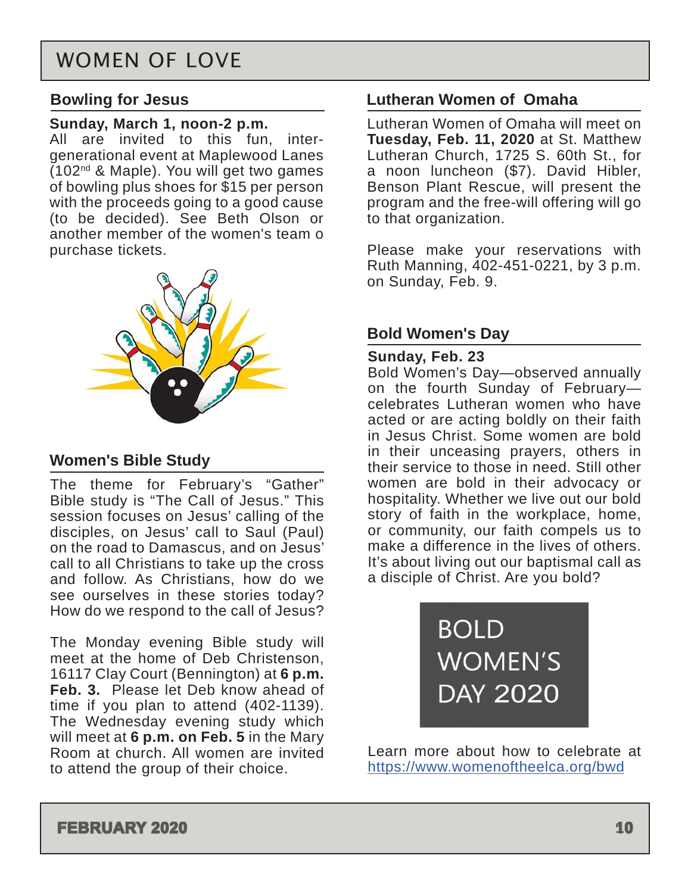## WOMEN OF LOVE

#### **Bowling for Jesus**

#### **Sunday, March 1, noon-2 p.m.**

All are invited to this fun, intergenerational event at Maplewood Lanes  $(102<sup>nd</sup>$  & Maple). You will get two games of bowling plus shoes for \$15 per person with the proceeds going to a good cause (to be decided). See Beth Olson or another member of the women's team o purchase tickets.



### **Women's Bible Study**

The theme for February's "Gather" Bible study is "The Call of Jesus." This session focuses on Jesus' calling of the disciples, on Jesus' call to Saul (Paul) on the road to Damascus, and on Jesus' call to all Christians to take up the cross and follow. As Christians, how do we see ourselves in these stories today? How do we respond to the call of Jesus?

The Monday evening Bible study will meet at the home of Deb Christenson, 16117 Clay Court (Bennington) at **6 p.m. Feb. 3.** Please let Deb know ahead of time if you plan to attend (402-1139). The Wednesday evening study which will meet at **6 p.m. on Feb. 5** in the Mary Room at church. All women are invited to attend the group of their choice.

#### **Lutheran Women of Omaha**

Lutheran Women of Omaha will meet on **Tuesday, Feb. 11, 2020** at St. Matthew Lutheran Church, 1725 S. 60th St., for a noon luncheon (\$7). David Hibler, Benson Plant Rescue, will present the program and the free-will offering will go to that organization.

Please make your reservations with Ruth Manning, 402-451-0221, by 3 p.m. on Sunday, Feb. 9.

### **Bold Women's Day**

#### **Sunday, Feb. 23**

Bold Women's Day—observed annually on the fourth Sunday of February celebrates Lutheran women who have acted or are acting boldly on their faith in Jesus Christ. Some women are bold in their unceasing prayers, others in their service to those in need. Still other women are bold in their advocacy or hospitality. Whether we live out our bold story of faith in the workplace, home, or community, our faith compels us to make a difference in the lives of others. It's about living out our baptismal call as a disciple of Christ. Are you bold?

> **BOLD WOMEN'S DAY 2020**

Learn more about how to celebrate at <https://www.womenoftheelca.org/bwd>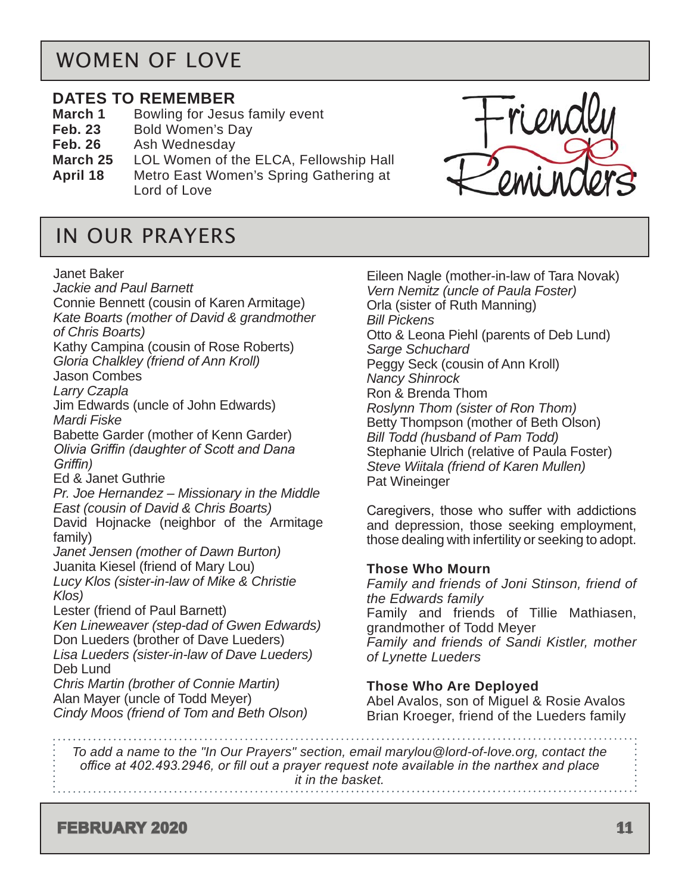## <span id="page-10-0"></span>WOMEN OF LOVE

#### **DATES TO REMEMBER**

- **March 1** Bowling for Jesus family event
- **Feb. 23** Bold Women's Day
- **Feb. 26** Ash Wednesday
- **March 25** LOL Women of the ELCA, Fellowship Hall **April 18** Metro East Women's Spring Gathering at
- Lord of Love

## IN OUR PRAYERS

#### Janet Baker

*Jackie and Paul Barnett* Connie Bennett (cousin of Karen Armitage) *Kate Boarts (mother of David & grandmother of Chris Boarts)* Kathy Campina (cousin of Rose Roberts) *Gloria Chalkley (friend of Ann Kroll)* Jason Combes *Larry Czapla* Jim Edwards (uncle of John Edwards) *Mardi Fiske* Babette Garder (mother of Kenn Garder) *Olivia Griffin (daughter of Scott and Dana Griffin)* Ed & Janet Guthrie *Pr. Joe Hernandez – Missionary in the Middle East (cousin of David & Chris Boarts)* David Hojnacke (neighbor of the Armitage family) *Janet Jensen (mother of Dawn Burton)* Juanita Kiesel (friend of Mary Lou) *Lucy Klos (sister-in-law of Mike & Christie Klos)* Lester (friend of Paul Barnett) *Ken Lineweaver (step-dad of Gwen Edwards)* Don Lueders (brother of Dave Lueders) *Lisa Lueders (sister-in-law of Dave Lueders)* Deb Lund *Chris Martin (brother of Connie Martin)*

Alan Mayer (uncle of Todd Meyer) *Cindy Moos (friend of Tom and Beth Olson)* Eileen Nagle (mother-in-law of Tara Novak) *Vern Nemitz (uncle of Paula Foster)* Orla (sister of Ruth Manning) *Bill Pickens* Otto & Leona Piehl (parents of Deb Lund) *Sarge Schuchard* Peggy Seck (cousin of Ann Kroll) *Nancy Shinrock* Ron & Brenda Thom *Roslynn Thom (sister of Ron Thom)* Betty Thompson (mother of Beth Olson) *Bill Todd (husband of Pam Todd)* Stephanie Ulrich (relative of Paula Foster) *Steve Wiitala (friend of Karen Mullen)* Pat Wineinger

Caregivers, those who suffer with addictions and depression, those seeking employment, those dealing with infertility or seeking to adopt.

#### **Those Who Mourn**

*Family and friends of Joni Stinson, friend of the Edwards family* Family and friends of Tillie Mathiasen, grandmother of Todd Meyer *Family and friends of Sandi Kistler, mother of Lynette Lueders*

#### **Those Who Are Deployed**

Abel Avalos, son of Miguel & Rosie Avalos Brian Kroeger, friend of the Lueders family

*To add a name to the "In Our Prayers" section, email marylou@lord-of-love.org, contact the office at 402.493.2946, or fill out a prayer request note available in the narthex and place it in the basket.* 

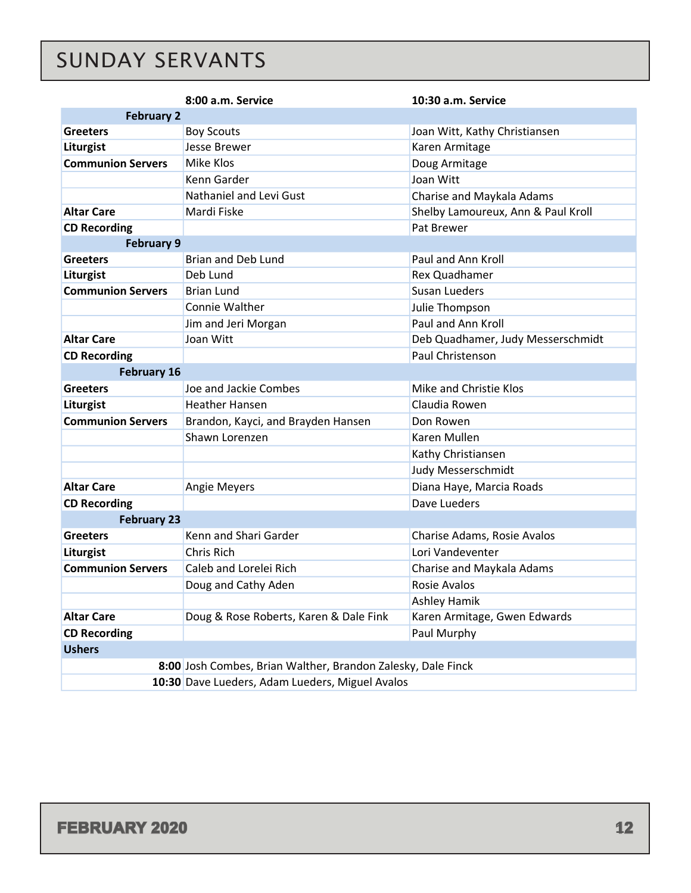# <span id="page-11-0"></span>SUNDAY SERVANTS

|                                                              | 8:00 a.m. Service                      | 10:30 a.m. Service                 |  |  |  |  |
|--------------------------------------------------------------|----------------------------------------|------------------------------------|--|--|--|--|
| <b>February 2</b>                                            |                                        |                                    |  |  |  |  |
| <b>Greeters</b>                                              | <b>Boy Scouts</b>                      | Joan Witt, Kathy Christiansen      |  |  |  |  |
| Liturgist                                                    | Jesse Brewer                           | Karen Armitage                     |  |  |  |  |
| <b>Communion Servers</b>                                     | Mike Klos                              | Doug Armitage                      |  |  |  |  |
|                                                              | Kenn Garder                            | Joan Witt                          |  |  |  |  |
|                                                              | Nathaniel and Levi Gust                | Charise and Maykala Adams          |  |  |  |  |
| <b>Altar Care</b>                                            | Mardi Fiske                            | Shelby Lamoureux, Ann & Paul Kroll |  |  |  |  |
| <b>CD Recording</b>                                          |                                        | Pat Brewer                         |  |  |  |  |
| <b>February 9</b>                                            |                                        |                                    |  |  |  |  |
| <b>Greeters</b>                                              | <b>Brian and Deb Lund</b>              | Paul and Ann Kroll                 |  |  |  |  |
| Liturgist                                                    | Deb Lund                               | Rex Quadhamer                      |  |  |  |  |
| <b>Communion Servers</b>                                     | <b>Brian Lund</b>                      | Susan Lueders                      |  |  |  |  |
|                                                              | Connie Walther                         | Julie Thompson                     |  |  |  |  |
|                                                              | Jim and Jeri Morgan                    | Paul and Ann Kroll                 |  |  |  |  |
| <b>Altar Care</b>                                            | Joan Witt                              | Deb Quadhamer, Judy Messerschmidt  |  |  |  |  |
| <b>CD Recording</b>                                          |                                        | Paul Christenson                   |  |  |  |  |
| <b>February 16</b>                                           |                                        |                                    |  |  |  |  |
| <b>Greeters</b>                                              | Joe and Jackie Combes                  | Mike and Christie Klos             |  |  |  |  |
| Liturgist                                                    | <b>Heather Hansen</b>                  | Claudia Rowen                      |  |  |  |  |
| <b>Communion Servers</b>                                     | Brandon, Kayci, and Brayden Hansen     | Don Rowen                          |  |  |  |  |
|                                                              | Shawn Lorenzen                         | Karen Mullen                       |  |  |  |  |
|                                                              |                                        | Kathy Christiansen                 |  |  |  |  |
|                                                              |                                        | Judy Messerschmidt                 |  |  |  |  |
| <b>Altar Care</b>                                            | Angie Meyers                           | Diana Haye, Marcia Roads           |  |  |  |  |
| <b>CD Recording</b>                                          |                                        | Dave Lueders                       |  |  |  |  |
| <b>February 23</b>                                           |                                        |                                    |  |  |  |  |
| <b>Greeters</b>                                              | Kenn and Shari Garder                  | Charise Adams, Rosie Avalos        |  |  |  |  |
| Liturgist                                                    | Chris Rich                             | Lori Vandeventer                   |  |  |  |  |
| <b>Communion Servers</b>                                     | Caleb and Lorelei Rich                 | Charise and Maykala Adams          |  |  |  |  |
|                                                              | Doug and Cathy Aden                    | Rosie Avalos                       |  |  |  |  |
|                                                              |                                        | <b>Ashley Hamik</b>                |  |  |  |  |
| <b>Altar Care</b>                                            | Doug & Rose Roberts, Karen & Dale Fink | Karen Armitage, Gwen Edwards       |  |  |  |  |
| <b>CD Recording</b>                                          | Paul Murphy                            |                                    |  |  |  |  |
| <b>Ushers</b>                                                |                                        |                                    |  |  |  |  |
| 8:00 Josh Combes, Brian Walther, Brandon Zalesky, Dale Finck |                                        |                                    |  |  |  |  |
| 10:30 Dave Lueders, Adam Lueders, Miguel Avalos              |                                        |                                    |  |  |  |  |